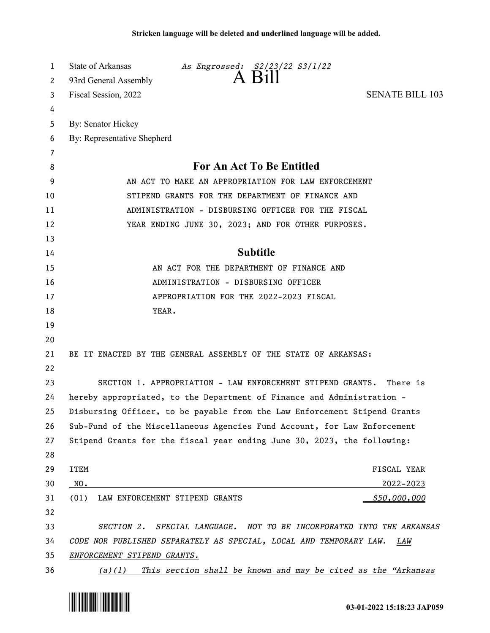| 1        | State of Arkansas<br>As Engrossed: S2/23/22 S3/1/22<br>A B111                                            |
|----------|----------------------------------------------------------------------------------------------------------|
| 2        | 93rd General Assembly                                                                                    |
| 3        | <b>SENATE BILL 103</b><br>Fiscal Session, 2022                                                           |
| 4        |                                                                                                          |
| 5        | By: Senator Hickey                                                                                       |
| 6        | By: Representative Shepherd                                                                              |
| 7<br>8   | For An Act To Be Entitled                                                                                |
| 9        | AN ACT TO MAKE AN APPROPRIATION FOR LAW ENFORCEMENT                                                      |
| 10       | STIPEND GRANTS FOR THE DEPARTMENT OF FINANCE AND                                                         |
| 11       | ADMINISTRATION - DISBURSING OFFICER FOR THE FISCAL                                                       |
| 12       | YEAR ENDING JUNE 30, 2023; AND FOR OTHER PURPOSES.                                                       |
| 13       |                                                                                                          |
| 14       | <b>Subtitle</b>                                                                                          |
| 15       | AN ACT FOR THE DEPARTMENT OF FINANCE AND                                                                 |
| 16       | ADMINISTRATION - DISBURSING OFFICER                                                                      |
| 17       | APPROPRIATION FOR THE 2022-2023 FISCAL                                                                   |
| 18       | YEAR.                                                                                                    |
| 19       |                                                                                                          |
| 20       |                                                                                                          |
| 21       | BE IT ENACTED BY THE GENERAL ASSEMBLY OF THE STATE OF ARKANSAS:                                          |
| 22       |                                                                                                          |
| 23       | SECTION 1. APPROPRIATION - LAW ENFORCEMENT STIPEND GRANTS.<br>There is                                   |
| 24       | hereby appropriated, to the Department of Finance and Administration -                                   |
| 25       | Disbursing Officer, to be payable from the Law Enforcement Stipend Grants                                |
| 26       | Sub-Fund of the Miscellaneous Agencies Fund Account, for Law Enforcement                                 |
| 27       | Stipend Grants for the fiscal year ending June 30, 2023, the following:                                  |
| 28       |                                                                                                          |
| 29       | ITEM<br>FISCAL YEAR                                                                                      |
| 30       | NO.<br>$2022 - 2023$                                                                                     |
| 31       | (01) LAW ENFORCEMENT STIPEND GRANTS<br><u>\$50,000,000</u>                                               |
| 32       |                                                                                                          |
| 33       | SECTION 2. SPECIAL LANGUAGE. NOT TO BE INCORPORATED INTO THE ARKANSAS                                    |
| 34<br>35 | CODE NOR PUBLISHED SEPARATELY AS SPECIAL, LOCAL AND TEMPORARY LAW.<br>LAW<br>ENFORCEMENT STIPEND GRANTS. |
|          |                                                                                                          |

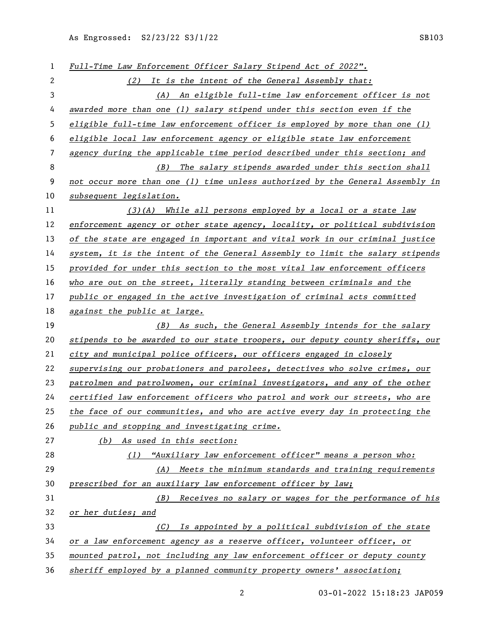*Full-Time Law Enforcement Officer Salary Stipend Act of 2022". (2) It is the intent of the General Assembly that: (A) An eligible full-time law enforcement officer is not awarded more than one (1) salary stipend under this section even if the eligible full-time law enforcement officer is employed by more than one (1) eligible local law enforcement agency or eligible state law enforcement agency during the applicable time period described under this section; and (B) The salary stipends awarded under this section shall not occur more than one (1) time unless authorized by the General Assembly in subsequent legislation. (3)(A) While all persons employed by a local or a state law enforcement agency or other state agency, locality, or political subdivision of the state are engaged in important and vital work in our criminal justice system, it is the intent of the General Assembly to limit the salary stipends provided for under this section to the most vital law enforcement officers who are out on the street, literally standing between criminals and the public or engaged in the active investigation of criminal acts committed against the public at large. (B) As such, the General Assembly intends for the salary stipends to be awarded to our state troopers, our deputy county sheriffs, our city and municipal police officers, our officers engaged in closely supervising our probationers and parolees, detectives who solve crimes, our patrolmen and patrolwomen, our criminal investigators, and any of the other certified law enforcement officers who patrol and work our streets, who are the face of our communities, and who are active every day in protecting the public and stopping and investigating crime. (b) As used in this section: (1) "Auxiliary law enforcement officer" means a person who: (A) Meets the minimum standards and training requirements prescribed for an auxiliary law enforcement officer by law; (B) Receives no salary or wages for the performance of his or her duties; and (C) Is appointed by a political subdivision of the state or a law enforcement agency as a reserve officer, volunteer officer, or mounted patrol, not including any law enforcement officer or deputy county sheriff employed by a planned community property owners' association;*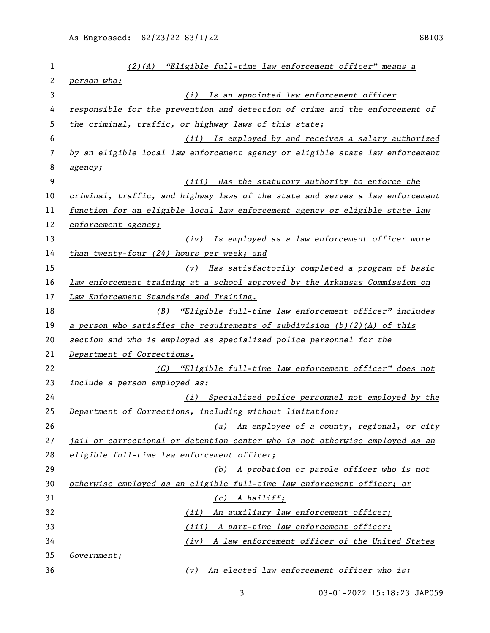| 1  | $(2)$ (A) "Eligible full-time law enforcement officer" means a                               |
|----|----------------------------------------------------------------------------------------------|
| 2  | person who:                                                                                  |
| 3  | (i) Is an appointed law enforcement officer                                                  |
| 4  | responsible for the prevention and detection of crime and the enforcement of                 |
| 5  | the criminal, traffic, or highway laws of this state;                                        |
| 6  | (ii) Is employed by and receives a salary authorized                                         |
| 7  | by an eligible local law enforcement agency or eligible state law enforcement                |
| 8  | agency;                                                                                      |
| 9  | (iii) Has the statutory authority to enforce the                                             |
| 10 | criminal, traffic, and highway laws of the state and serves a law enforcement                |
| 11 | function for an eligible local law enforcement agency or eligible state law                  |
| 12 | enforcement agency;                                                                          |
| 13 | (iv) Is employed as a law enforcement officer more                                           |
| 14 | than twenty-four (24) hours per week; and                                                    |
| 15 | (v) Has satisfactorily completed a program of basic                                          |
| 16 | law enforcement training at a school approved by the Arkansas Commission on                  |
| 17 | Law Enforcement Standards and Training.                                                      |
| 18 | "Eligible full-time law enforcement officer" includes<br>(B)                                 |
| 19 | <u>a person who satisfies the requirements of subdivision <math>(b)(2)(A)</math> of this</u> |
| 20 | section and who is employed as specialized police personnel for the                          |
| 21 | Department of Corrections.                                                                   |
| 22 | (C) "Eligible full-time law enforcement officer" does not                                    |
| 23 | include a person employed as:                                                                |
| 24 | (i) Specialized police personnel not employed by the                                         |
| 25 | Department of Corrections, including without limitation:                                     |
| 26 | (a) An employee of a county, regional, or city                                               |
| 27 | jail or correctional or detention center who is not otherwise employed as an                 |
| 28 | eligible full-time law enforcement officer;                                                  |
| 29 | (b) A probation or parole officer who is not                                                 |
| 30 | otherwise employed as an eligible full-time law enforcement officer; or                      |
| 31 | (c) A bailiff;                                                                               |
| 32 | (ii) An auxiliary law enforcement officer;                                                   |
| 33 | (iii) A part-time law enforcement officer;                                                   |
| 34 | (iv) A law enforcement officer of the United States                                          |
| 35 | <i>Government;</i>                                                                           |
| 36 | (v) An elected law enforcement officer who is:                                               |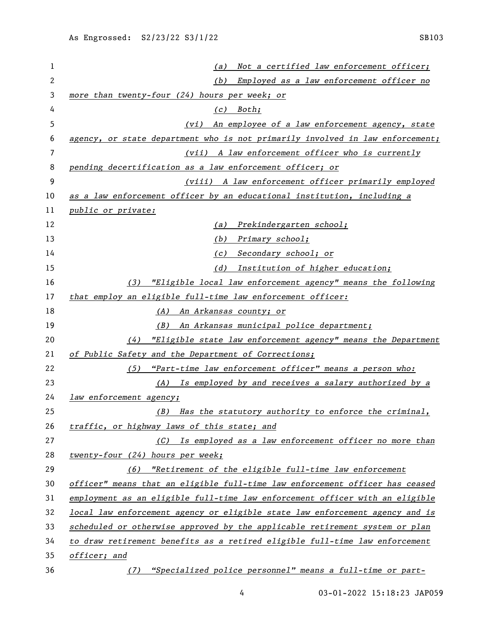| 1  | Not a certified law enforcement officer;<br>(a)                               |
|----|-------------------------------------------------------------------------------|
| 2  | Employed as a law enforcement officer no<br>(b)                               |
| 3  | more than twenty-four (24) hours per week; or                                 |
| 4  | $(c)$ Both;                                                                   |
| 5  | An employee of a law enforcement agency, state<br>(vi)                        |
| 6  | agency, or state department who is not primarily involved in law enforcement; |
| 7  | (vii) A law enforcement officer who is currently                              |
| 8  | pending decertification as a law enforcement officer; or                      |
| 9  | (viii) A law enforcement officer primarily employed                           |
| 10 | as a law enforcement officer by an educational institution, including a       |
| 11 | public or private:                                                            |
| 12 | Prekindergarten school;<br>(a)                                                |
| 13 | (b)<br>Primary school;                                                        |
| 14 | (c) Secondary school; or                                                      |
| 15 | Institution of higher education;<br>(d)                                       |
| 16 | (3) "Eligible local law enforcement agency" means the following               |
| 17 | that employ an eligible full-time law enforcement officer:                    |
| 18 | (A) An Arkansas county; or                                                    |
| 19 | An Arkansas municipal police department;<br>( <i>B</i> )                      |
| 20 | "Eligible state law enforcement agency" means the Department<br>(4)           |
| 21 | of Public Safety and the Department of Corrections;                           |
| 22 | "Part-time law enforcement officer" means a person who:<br>(5)                |
| 23 | Is employed by and receives a salary authorized by a<br>(A)                   |
| 24 | law enforcement agency;                                                       |
| 25 | (B) Has the statutory authority to enforce the criminal,                      |
| 26 | traffic, or highway laws of this state; and                                   |
| 27 | (C) Is employed as a law enforcement officer no more than                     |
| 28 | twenty-four (24) hours per week;                                              |
| 29 | (6) "Retirement of the eligible full-time law enforcement                     |
| 30 | officer" means that an eligible full-time law enforcement officer has ceased  |
| 31 | employment as an eligible full-time law enforcement officer with an eligible  |
| 32 | local law enforcement agency or eligible state law enforcement agency and is  |
| 33 | scheduled or otherwise approved by the applicable retirement system or plan   |
| 34 | to draw retirement benefits as a retired eligible full-time law enforcement   |
| 35 | officer; and                                                                  |
| 36 | "Specialized police personnel" means a full-time or part-<br>(7)              |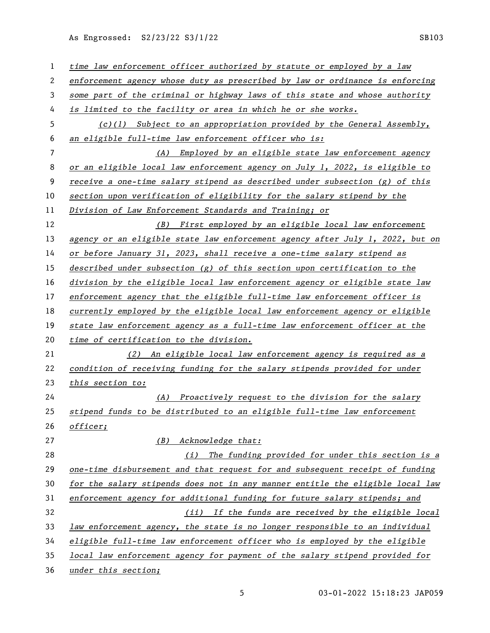| 1  | time law enforcement officer authorized by statute or employed by a law       |
|----|-------------------------------------------------------------------------------|
| 2  | enforcement agency whose duty as prescribed by law or ordinance is enforcing  |
| 3  | some part of the criminal or highway laws of this state and whose authority   |
| 4  | is limited to the facility or area in which he or she works.                  |
| 5  | $(c)(1)$ Subject to an appropriation provided by the General Assembly,        |
| 6  | an eligible full-time law enforcement officer who is:                         |
| 7  | (A) Employed by an eligible state law enforcement agency                      |
| 8  | or an eligible local law enforcement agency on July 1, 2022, is eligible to   |
| 9  | receive a one-time salary stipend as described under subsection (g) of this   |
| 10 | section upon verification of eligibility for the salary stipend by the        |
| 11 | Division of Law Enforcement Standards and Training; or                        |
| 12 | (B) First employed by an eligible local law enforcement                       |
| 13 | agency or an eligible state law enforcement agency after July 1, 2022, but on |
| 14 | or before January 31, 2023, shall receive a one-time salary stipend as        |
| 15 | described under subsection $(g)$ of this section upon certification to the    |
| 16 | division by the eligible local law enforcement agency or eligible state law   |
| 17 | enforcement agency that the eligible full-time law enforcement officer is     |
| 18 | currently employed by the eligible local law enforcement agency or eligible   |
| 19 | state law enforcement agency as a full-time law enforcement officer at the    |
| 20 | time of certification to the division.                                        |
| 21 | (2) An eligible local law enforcement agency is required as a                 |
| 22 | condition of receiving funding for the salary stipends provided for under     |
| 23 | this section to:                                                              |
| 24 | (A) Proactively request to the division for the salary                        |
| 25 | stipend funds to be distributed to an eligible full-time law enforcement      |
| 26 | officer;                                                                      |
| 27 | (B)<br>Acknowledge that:                                                      |
| 28 | The funding provided for under this section is a<br>(i)                       |
| 29 | one-time disbursement and that request for and subsequent receipt of funding  |
| 30 | for the salary stipends does not in any manner entitle the eligible local law |
| 31 | enforcement agency for additional funding for future salary stipends; and     |
| 32 | (ii) If the funds are received by the eligible local                          |
| 33 | law enforcement agency, the state is no longer responsible to an individual   |
| 34 | eligible full-time law enforcement officer who is employed by the eligible    |
| 35 | local law enforcement agency for payment of the salary stipend provided for   |
| 36 | under this section;                                                           |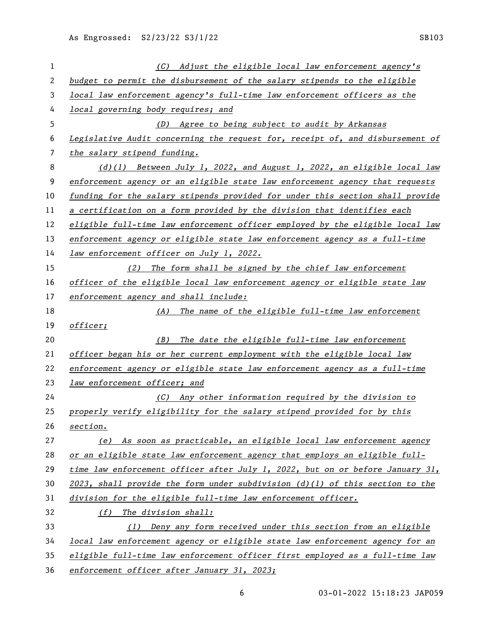| 1            | (C) Adjust the eligible local law enforcement agency's                         |
|--------------|--------------------------------------------------------------------------------|
| $\mathbf{2}$ | budget to permit the disbursement of the salary stipends to the eligible       |
| 3            | local law enforcement agency's full-time law enforcement officers as the       |
| 4            | local governing body requires; and                                             |
| 5            | (D) Agree to being subject to audit by Arkansas                                |
| 6            | Legislative Audit concerning the request for, receipt of, and disbursement of  |
| 7            | the salary stipend funding.                                                    |
| 8            | $(d)(1)$ Between July 1, 2022, and August 1, 2022, an eligible local law       |
| 9            | enforcement agency or an eligible state law enforcement agency that requests   |
| 10           | funding for the salary stipends provided for under this section shall provide  |
| 11           | a certification on a form provided by the division that identifies each        |
| 12           | eligible full-time law enforcement officer employed by the eligible local law  |
| 13           | enforcement agency or eligible state law enforcement agency as a full-time     |
| 14           | law enforcement officer on July 1, 2022.                                       |
| 15           | (2) The form shall be signed by the chief law enforcement                      |
| 16           | officer of the eligible local law enforcement agency or eligible state law     |
| 17           | enforcement agency and shall include:                                          |
| 18           | $(A)$ The name of the eligible full-time law enforcement                       |
| 19           | officer;                                                                       |
| 20           | The date the eligible full-time law enforcement<br>(B)                         |
| 21           | officer began his or her current employment with the eligible local law        |
| 22           | enforcement agency or eligible state law enforcement agency as a full-time     |
| 23           | law enforcement officer; and                                                   |
| 24           | (C) Any other information required by the division to                          |
| 25           | properly verify eligibility for the salary stipend provided for by this        |
| 26           | section.                                                                       |
| 27           | (e) As soon as practicable, an eligible local law enforcement agency           |
| 28           | or an eligible state law enforcement agency that employs an eligible full-     |
| 29           | time law enforcement officer after July 1, 2022, but on or before January 31,  |
| 30           | 2023, shall provide the form under subdivision $(d)(1)$ of this section to the |
| 31           | division for the eligible full-time law enforcement officer.                   |
| 32           | (f) The division shall:                                                        |
| 33           | Deny any form received under this section from an eligible<br>(1)              |
| 34           | local law enforcement agency or eligible state law enforcement agency for an   |
| 35           | eligible full-time law enforcement officer first employed as a full-time law   |
| 36           | enforcement officer after January 31, 2023;                                    |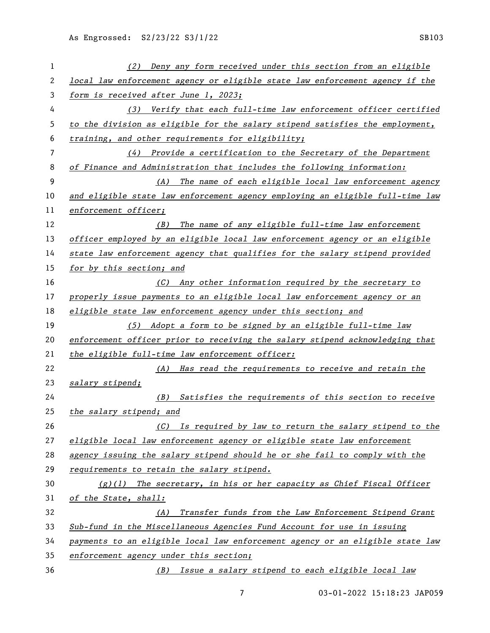| 1  | Deny any form received under this section from an eligible<br>(2)             |
|----|-------------------------------------------------------------------------------|
| 2  | local law enforcement agency or eligible state law enforcement agency if the  |
| 3  | form is received after June 1, 2023;                                          |
| 4  | (3) Verify that each full-time law enforcement officer certified              |
| 5  | to the division as eligible for the salary stipend satisfies the employment,  |
| 6  | training, and other requirements for eligibility;                             |
| 7  | $(4)$ Provide a certification to the Secretary of the Department              |
| 8  | of Finance and Administration that includes the following information:        |
| 9  | (A) The name of each eligible local law enforcement agency                    |
| 10 | and eligible state law enforcement agency employing an eligible full-time law |
| 11 | enforcement officer;                                                          |
| 12 | The name of any eligible full-time law enforcement<br>(B)                     |
| 13 | officer employed by an eligible local law enforcement agency or an eligible   |
| 14 | state law enforcement agency that qualifies for the salary stipend provided   |
| 15 | for by this section; and                                                      |
| 16 | (C) Any other information required by the secretary to                        |
| 17 | properly issue payments to an eligible local law enforcement agency or an     |
| 18 | eligible state law enforcement agency under this section; and                 |
| 19 | (5) Adopt a form to be signed by an eligible full-time law                    |
| 20 | enforcement officer prior to receiving the salary stipend acknowledging that  |
| 21 | the eligible full-time law enforcement officer:                               |
| 22 | Has read the requirements to receive and retain the<br>(A)                    |
| 23 | salary stipend;                                                               |
| 24 | Satisfies the requirements of this section to receive<br>( <i>B</i> )         |
| 25 | the salary stipend; and                                                       |
| 26 | (C) Is required by law to return the salary stipend to the                    |
| 27 | eligible local law enforcement agency or eligible state law enforcement       |
| 28 | agency issuing the salary stipend should he or she fail to comply with the    |
| 29 | requirements to retain the salary stipend.                                    |
| 30 | $(g)(1)$ The secretary, in his or her capacity as Chief Fiscal Officer        |
| 31 | of the State, shall:                                                          |
| 32 | Transfer funds from the Law Enforcement Stipend Grant<br>(A)                  |
| 33 | Sub-fund in the Miscellaneous Agencies Fund Account for use in issuing        |
| 34 | payments to an eligible local law enforcement agency or an eligible state law |
| 35 | enforcement agency under this section;                                        |
| 36 | (B) Issue a salary stipend to each eligible local law                         |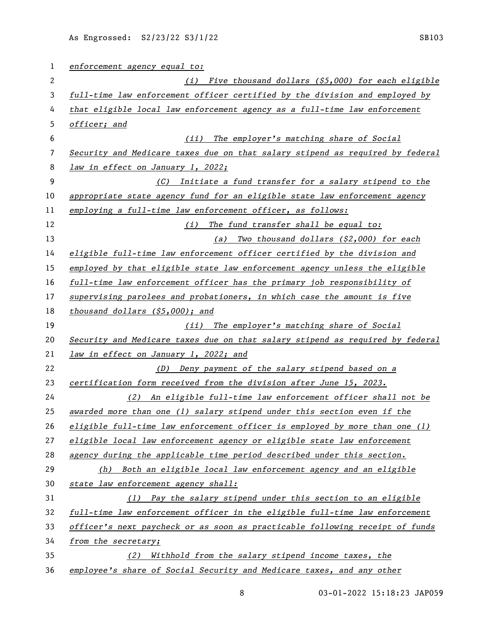| 1  | enforcement agency equal to:                                                  |
|----|-------------------------------------------------------------------------------|
| 2  | Five thousand dollars $(55,000)$ for each eligible<br>(i)                     |
| 3  | full-time law enforcement officer certified by the division and employed by   |
| 4  | that eligible local law enforcement agency as a full-time law enforcement     |
| 5  | officer; and                                                                  |
| 6  | The employer's matching share of Social<br>(iii)                              |
| 7  | Security and Medicare taxes due on that salary stipend as required by federal |
| 8  | law in effect on January 1, 2022;                                             |
| 9  | (C) Initiate a fund transfer for a salary stipend to the                      |
| 10 | appropriate state agency fund for an eligible state law enforcement agency    |
| 11 | employing a full-time law enforcement officer, as follows:                    |
| 12 | (i) The fund transfer shall be equal to:                                      |
| 13 | (a) Two thousand dollars (\$2,000) for each                                   |
| 14 | eligible full-time law enforcement officer certified by the division and      |
| 15 | employed by that eligible state law enforcement agency unless the eligible    |
| 16 | full-time law enforcement officer has the primary job responsibility of       |
| 17 | supervising parolees and probationers, in which case the amount is five       |
| 18 | thousand dollars $(55,000)$ ; and                                             |
| 19 | (ii) The employer's matching share of Social                                  |
| 20 | Security and Medicare taxes due on that salary stipend as required by federal |
| 21 | law in effect on January 1, 2022; and                                         |
| 22 | (D) Deny payment of the salary stipend based on a                             |
| 23 | certification form received from the division after June 15, 2023.            |
| 24 | (2) An eligible full-time law enforcement officer shall not be                |
| 25 | awarded more than one (1) salary stipend under this section even if the       |
| 26 | eligible full-time law enforcement officer is employed by more than one (1)   |
| 27 | eligible local law enforcement agency or eligible state law enforcement       |
| 28 | agency during the applicable time period described under this section.        |
| 29 | Both an eligible local law enforcement agency and an eligible<br>(h)          |
| 30 | state law enforcement agency shall:                                           |
| 31 | (1) Pay the salary stipend under this section to an eligible                  |
| 32 | full-time law enforcement officer in the eligible full-time law enforcement   |
| 33 | officer's next paycheck or as soon as practicable following receipt of funds  |
| 34 | from the secretary;                                                           |
| 35 | Withhold from the salary stipend income taxes, the<br>(2)                     |
| 36 | employee's share of Social Security and Medicare taxes, and any other         |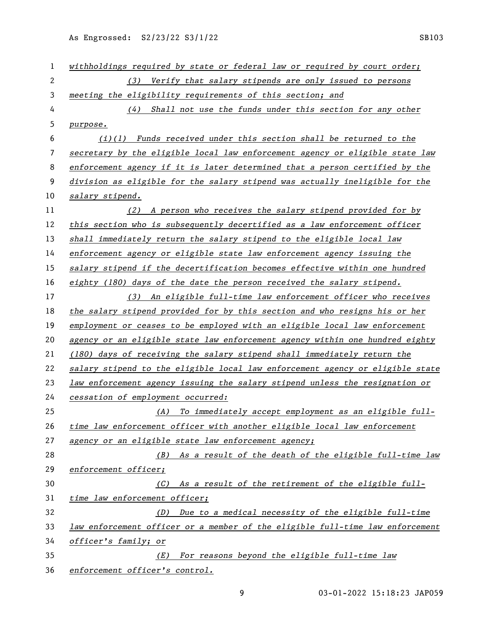| $\mathbf{1}$   | withholdings required by state or federal law or required by court order;     |
|----------------|-------------------------------------------------------------------------------|
| $\overline{c}$ | (3) Verify that salary stipends are only issued to persons                    |
| 3              | meeting the eligibility requirements of this section; and                     |
| 4              | (4) Shall not use the funds under this section for any other                  |
| 5              | purpose.                                                                      |
| 6              | $(i)(1)$ Funds received under this section shall be returned to the           |
| 7              | secretary by the eligible local law enforcement agency or eligible state law  |
| 8              | enforcement agency if it is later determined that a person certified by the   |
| 9              | division as eligible for the salary stipend was actually ineligible for the   |
| 10             | salary stipend.                                                               |
| 11             | (2) A person who receives the salary stipend provided for by                  |
| 12             | this section who is subsequently decertified as a law enforcement officer     |
| 13             | shall immediately return the salary stipend to the eligible local law         |
| 14             | enforcement agency or eligible state law enforcement agency issuing the       |
| 15             | salary stipend if the decertification becomes effective within one hundred    |
| 16             | eighty (180) days of the date the person received the salary stipend.         |
| 17             | (3) An eligible full-time law enforcement officer who receives                |
| 18             | the salary stipend provided for by this section and who resigns his or her    |
| 19             | employment or ceases to be employed with an eligible local law enforcement    |
| 20             | agency or an eligible state law enforcement agency within one hundred eighty  |
| 21             | (180) days of receiving the salary stipend shall immediately return the       |
| 22             | salary stipend to the eligible local law enforcement agency or eligible state |
| 23             | law enforcement agency issuing the salary stipend unless the resignation or   |
| 24             | cessation of employment occurred:                                             |
| 25             | (A) To immediately accept employment as an eligible full-                     |
| 26             | time law enforcement officer with another eligible local law enforcement      |
| 27             | agency or an eligible state law enforcement agency;                           |
| 28             | As a result of the death of the eligible full-time law<br>(B)                 |
| 29             | enforcement officer;                                                          |
| 30             | As a result of the retirement of the eligible full-<br>(C)                    |
| 31             | time law enforcement officer;                                                 |
| 32             | (D) Due to a medical necessity of the eligible full-time                      |
| 33             | law enforcement officer or a member of the eligible full-time law enforcement |
| 34             | officer's family; or                                                          |
| 35             | For reasons beyond the eligible full-time law<br>(E)                          |
| 36             | enforcement officer's control.                                                |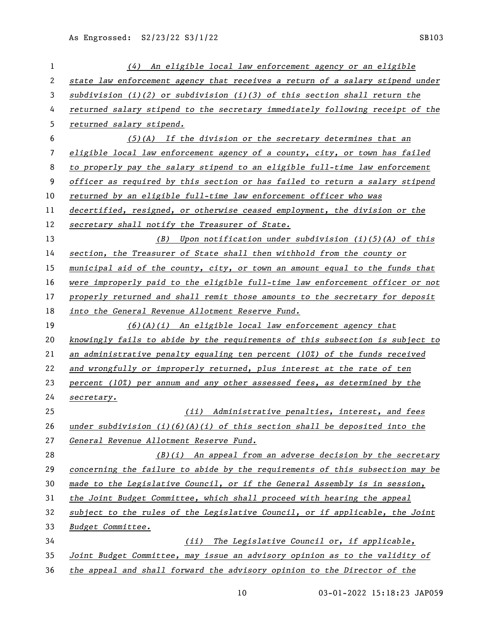| 1            | (4) An eligible local law enforcement agency or an eligible                           |
|--------------|---------------------------------------------------------------------------------------|
| $\mathbf{2}$ | state law enforcement agency that receives a return of a salary stipend under         |
| 3            | subdivision (i)(2) or subdivision (i)(3) of this section shall return the             |
| 4            | returned salary stipend to the secretary immediately following receipt of the         |
| 5            | returned salary stipend.                                                              |
| 6            | $(5)(A)$ If the division or the secretary determines that an                          |
| 7            | eligible local law enforcement agency of a county, city, or town has failed           |
| 8            | to properly pay the salary stipend to an eligible full-time law enforcement           |
| 9            | officer as required by this section or has failed to return a salary stipend          |
| 10           | returned by an eligible full-time law enforcement officer who was                     |
| 11           | decertified, resigned, or otherwise ceased employment, the division or the            |
| 12           | secretary shall notify the Treasurer of State.                                        |
| 13           | (B) Upon notification under subdivision (i)(5)(A) of this                             |
| 14           | section, the Treasurer of State shall then withhold from the county or                |
| 15           | municipal aid of the county, city, or town an amount equal to the funds that          |
| 16           | were improperly paid to the eligible full-time law enforcement officer or not         |
| 17           | properly returned and shall remit those amounts to the secretary for deposit          |
| 18           | into the General Revenue Allotment Reserve Fund.                                      |
| 19           | $(6)(A)(i)$ An eligible local law enforcement agency that                             |
| 20           | knowingly fails to abide by the requirements of this subsection is subject to         |
| 21           | an administrative penalty equaling ten percent $(102)$ of the funds received          |
| 22           | and wrongfully or improperly returned, plus interest at the rate of ten               |
| 23           | percent (10%) per annum and any other assessed fees, as determined by the             |
| 24           | secretary.                                                                            |
| 25           | (ii) Administrative penalties, interest, and fees                                     |
| 26           | under subdivision $(i)$ $(6)$ $(A)$ $(i)$ of this section shall be deposited into the |
| 27           | General Revenue Allotment Reserve Fund.                                               |
| 28           | $(B)(i)$ An appeal from an adverse decision by the secretary                          |
| 29           | concerning the failure to abide by the requirements of this subsection may be         |
| 30           | made to the Legislative Council, or if the General Assembly is in session,            |
| 31           | the Joint Budget Committee, which shall proceed with hearing the appeal               |
| 32           | subject to the rules of the Legislative Council, or if applicable, the Joint          |
| 33           | Budget Committee.                                                                     |
| 34           | The Legislative Council or, if applicable,<br>(iii)                                   |
| 35           | Joint Budget Committee, may issue an advisory opinion as to the validity of           |
| 36           | the appeal and shall forward the advisory opinion to the Director of the              |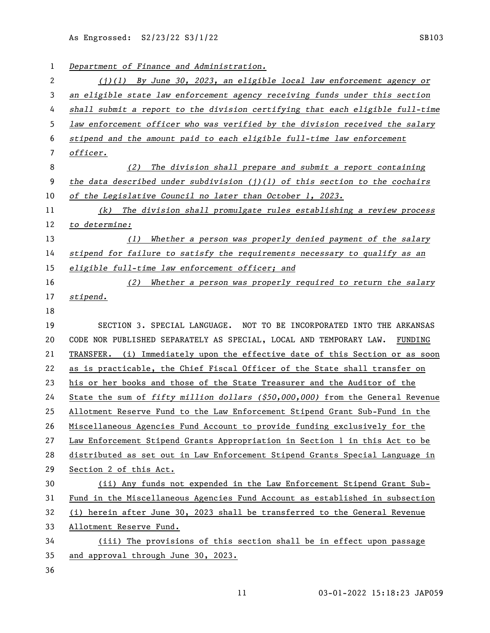| 1  | Department of Finance and Administration.                                        |
|----|----------------------------------------------------------------------------------|
| 2  | $(j)(1)$ By June 30, 2023, an eligible local law enforcement agency or           |
| 3  | an eligible state law enforcement agency receiving funds under this section      |
| 4  | shall submit a report to the division certifying that each eligible full-time    |
| 5  | law enforcement officer who was verified by the division received the salary     |
| 6  | stipend and the amount paid to each eligible full-time law enforcement           |
| 7  | officer.                                                                         |
| 8  | The division shall prepare and submit a report containing<br>(2)                 |
| 9  | the data described under subdivision $(j)(l)$ of this section to the cochairs    |
| 10 | of the Legislative Council no later than October 1, 2023.                        |
| 11 | The division shall promulgate rules establishing a review process<br>(k)         |
| 12 | to determine:                                                                    |
| 13 | Whether a person was properly denied payment of the salary<br>(1)                |
| 14 | stipend for failure to satisfy the requirements necessary to qualify as an       |
| 15 | eligible full-time law enforcement officer; and                                  |
| 16 | Whether a person was properly required to return the salary<br>(2)               |
| 17 | stipend.                                                                         |
| 18 |                                                                                  |
| 19 | SECTION 3. SPECIAL LANGUAGE. NOT TO BE INCORPORATED INTO THE ARKANSAS            |
| 20 | CODE NOR PUBLISHED SEPARATELY AS SPECIAL, LOCAL AND TEMPORARY LAW.<br>FUNDING    |
| 21 | TRANSFER. (i) Immediately upon the effective date of this Section or as soon     |
| 22 | as is practicable, the Chief Fiscal Officer of the State shall transfer on       |
| 23 | his or her books and those of the State Treasurer and the Auditor of the         |
| 24 | State the sum of fifty million dollars $( $50,000,000)$ from the General Revenue |
| 25 | Allotment Reserve Fund to the Law Enforcement Stipend Grant Sub-Fund in the      |
| 26 | Miscellaneous Agencies Fund Account to provide funding exclusively for the       |
| 27 | Law Enforcement Stipend Grants Appropriation in Section 1 in this Act to be      |
| 28 | distributed as set out in Law Enforcement Stipend Grants Special Language in     |
| 29 | Section 2 of this Act.                                                           |
| 30 | (ii) Any funds not expended in the Law Enforcement Stipend Grant Sub-            |
| 31 | Fund in the Miscellaneous Agencies Fund Account as established in subsection     |
| 32 | (i) herein after June 30, 2023 shall be transferred to the General Revenue       |
| 33 | Allotment Reserve Fund.                                                          |
| 34 | (iii) The provisions of this section shall be in effect upon passage             |
| 35 |                                                                                  |
|    | and approval through June 30, 2023.                                              |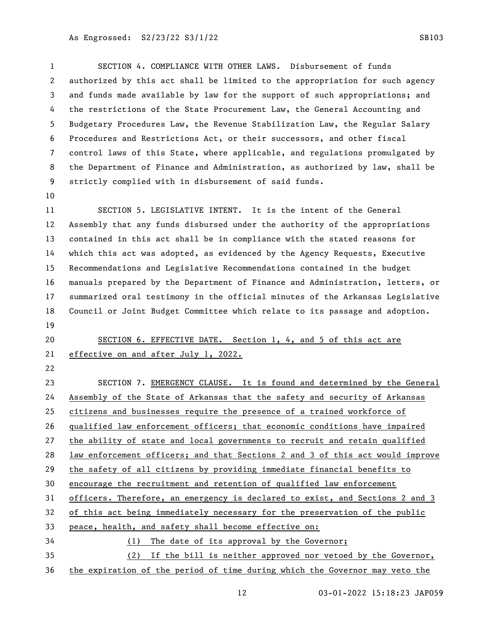SECTION 4. COMPLIANCE WITH OTHER LAWS. Disbursement of funds authorized by this act shall be limited to the appropriation for such agency and funds made available by law for the support of such appropriations; and the restrictions of the State Procurement Law, the General Accounting and Budgetary Procedures Law, the Revenue Stabilization Law, the Regular Salary Procedures and Restrictions Act, or their successors, and other fiscal control laws of this State, where applicable, and regulations promulgated by the Department of Finance and Administration, as authorized by law, shall be strictly complied with in disbursement of said funds.

 SECTION 5. LEGISLATIVE INTENT. It is the intent of the General Assembly that any funds disbursed under the authority of the appropriations contained in this act shall be in compliance with the stated reasons for which this act was adopted, as evidenced by the Agency Requests, Executive Recommendations and Legislative Recommendations contained in the budget manuals prepared by the Department of Finance and Administration, letters, or summarized oral testimony in the official minutes of the Arkansas Legislative Council or Joint Budget Committee which relate to its passage and adoption. 

 SECTION 6. EFFECTIVE DATE. Section 1, 4, and 5 of this act are effective on and after July 1, 2022.

 SECTION 7. EMERGENCY CLAUSE. It is found and determined by the General Assembly of the State of Arkansas that the safety and security of Arkansas citizens and businesses require the presence of a trained workforce of qualified law enforcement officers; that economic conditions have impaired the ability of state and local governments to recruit and retain qualified law enforcement officers; and that Sections 2 and 3 of this act would improve the safety of all citizens by providing immediate financial benefits to encourage the recruitment and retention of qualified law enforcement officers. Therefore, an emergency is declared to exist, and Sections 2 and 3 of this act being immediately necessary for the preservation of the public peace, health, and safety shall become effective on: (1) The date of its approval by the Governor; (2) If the bill is neither approved nor vetoed by the Governor, the expiration of the period of time during which the Governor may veto the